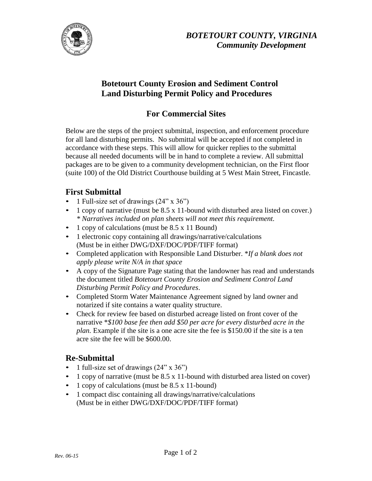

### **Botetourt County Erosion and Sediment Control Land Disturbing Permit Policy and Procedures**

### **For Commercial Sites**

Below are the steps of the project submittal, inspection, and enforcement procedure for all land disturbing permits. No submittal will be accepted if not completed in accordance with these steps. This will allow for quicker replies to the submittal because all needed documents will be in hand to complete a review. All submittal packages are to be given to a community development technician, on the First floor (suite 100) of the Old District Courthouse building at 5 West Main Street, Fincastle.

#### **First Submittal**

- 1 Full-size set of drawings  $(24" \times 36")$
- 1 copy of narrative (must be 8.5 x 11-bound with disturbed area listed on cover.) *\* Narratives included on plan sheets will not meet this requirement.*
- 1 copy of calculations (must be 8.5 x 11 Bound)
- 1 electronic copy containing all drawings/narrative/calculations (Must be in either DWG/DXF/DOC/PDF/TIFF format)
- Completed application with Responsible Land Disturber. \**If a blank does not apply please write N/A in that space*
- A copy of the Signature Page stating that the landowner has read and understands the document titled *Botetourt County Erosion and Sediment Control Land Disturbing Permit Policy and Procedures*.
- Completed Storm Water Maintenance Agreement signed by land owner and notarized if site contains a water quality structure.
- Check for review fee based on disturbed acreage listed on front cover of the narrative \**\$100 base fee then add \$50 per acre for every disturbed acre in the plan.* Example if the site is a one acre site the fee is \$150.00 if the site is a ten acre site the fee will be \$600.00.

## **Re-Submittal**

- 1 full-size set of drawings (24" x 36")
- 1 copy of narrative (must be 8.5 x 11-bound with disturbed area listed on cover)
- 1 copy of calculations (must be 8.5 x 11-bound)
- 1 compact disc containing all drawings/narrative/calculations (Must be in either DWG/DXF/DOC/PDF/TIFF format)